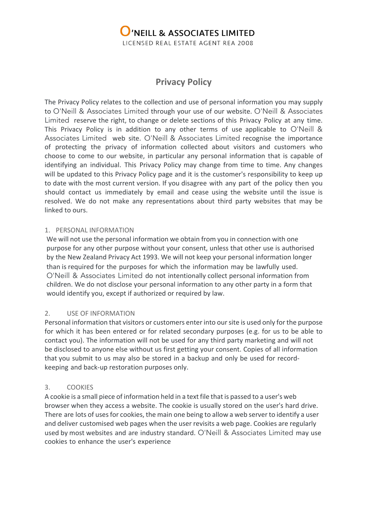

# **Privacy Policy**

The Privacy Policy relates to the collection and use of personal information you may supply to O'Neill & Associates Limited through your use of our website. O'Neill & Associates Limited reserve the right, to change or delete sections of this Privacy Policy at any time. This Privacy Policy is in addition to any other terms of use applicable to O'Neill & Associates Limited web site. O'Neill & Associates Limited recognise the importance of protecting the privacy of information collected about visitors and customers who choose to come to our website, in particular any personal information that is capable of identifying an individual. This Privacy Policy may change from time to time. Any changes will be updated to this Privacy Policy page and it is the customer's responsibility to keep up to date with the most current version. If you disagree with any part of the policy then you should contact us immediately by email and cease using the website until the issue is resolved. We do not make any representations about third party websites that may be linked to ours.

#### 1. PERSONAL INFORMATION

We will not use the personal information we obtain from you in connection with one purpose for any other purpose without your consent, unless that other use is authorised by the New Zealand Privacy Act 1993. We will not keep your personal information longer than is required for the purposes for which the information may be lawfully used. O'Neill & Associates Limited do not intentionally collect personal information from children. We do not disclose your personal information to any other party in a form that would identify you, except if authorized or required by law.

## 2. USE OF INFORMATION

Personal information that visitors or customers enter into our site is used only for the purpose for which it has been entered or for related secondary purposes (e.g. for us to be able to contact you). The information will not be used for any third party marketing and will not be disclosed to anyone else without us first getting your consent. Copies of all information that you submit to us may also be stored in a backup and only be used for recordkeeping and back-up restoration purposes only.

## 3. COOKIES

A cookie is a small piece of information held in a text file that is passed to a user's web browser when they access a website. The cookie is usually stored on the user's hard drive. There are lots of uses for cookies, the main one being to allow a web server to identify a user and deliver customised web pages when the user revisits a web page. Cookies are regularly used by most websites and are industry standard. O'Neill & Associates Limited may use cookies to enhance the user's experience